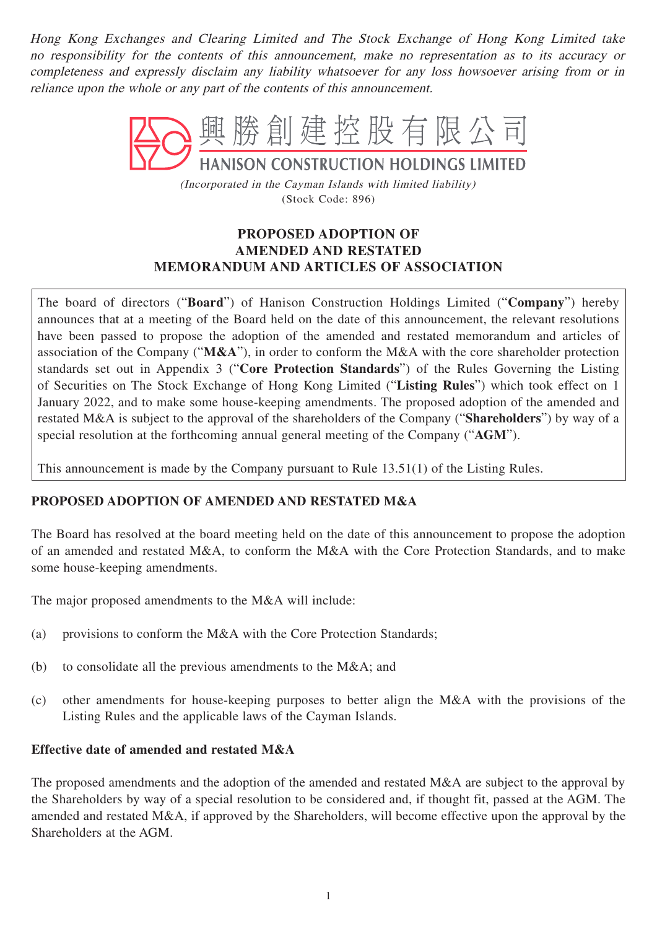Hong Kong Exchanges and Clearing Limited and The Stock Exchange of Hong Kong Limited take no responsibility for the contents of this announcement, make no representation as to its accuracy or completeness and expressly disclaim any liability whatsoever for any loss howsoever arising from or in reliance upon the whole or any part of the contents of this announcement.



(Incorporated in the Cayman Islands with limited liability) (Stock Code: 896)

# **PROPOSED ADOPTION OF AMENDED AND RESTATED MEMORANDUM AND ARTICLES OF ASSOCIATION**

The board of directors ("**Board**") of Hanison Construction Holdings Limited ("**Company**") hereby announces that at a meeting of the Board held on the date of this announcement, the relevant resolutions have been passed to propose the adoption of the amended and restated memorandum and articles of association of the Company ("**M&A**"), in order to conform the M&A with the core shareholder protection standards set out in Appendix 3 ("**Core Protection Standards**") of the Rules Governing the Listing of Securities on The Stock Exchange of Hong Kong Limited ("**Listing Rules**") which took effect on 1 January 2022, and to make some house-keeping amendments. The proposed adoption of the amended and restated M&A is subject to the approval of the shareholders of the Company ("**Shareholders**") by way of a special resolution at the forthcoming annual general meeting of the Company ("**AGM**").

This announcement is made by the Company pursuant to Rule 13.51(1) of the Listing Rules.

### **PROPOSED ADOPTION OF AMENDED AND RESTATED M&A**

The Board has resolved at the board meeting held on the date of this announcement to propose the adoption of an amended and restated M&A, to conform the M&A with the Core Protection Standards, and to make some house-keeping amendments.

The major proposed amendments to the M&A will include:

- (a) provisions to conform the M&A with the Core Protection Standards;
- (b) to consolidate all the previous amendments to the M&A; and
- (c) other amendments for house-keeping purposes to better align the M&A with the provisions of the Listing Rules and the applicable laws of the Cayman Islands.

#### **Effective date of amended and restated M&A**

The proposed amendments and the adoption of the amended and restated M&A are subject to the approval by the Shareholders by way of a special resolution to be considered and, if thought fit, passed at the AGM. The amended and restated M&A, if approved by the Shareholders, will become effective upon the approval by the Shareholders at the AGM.